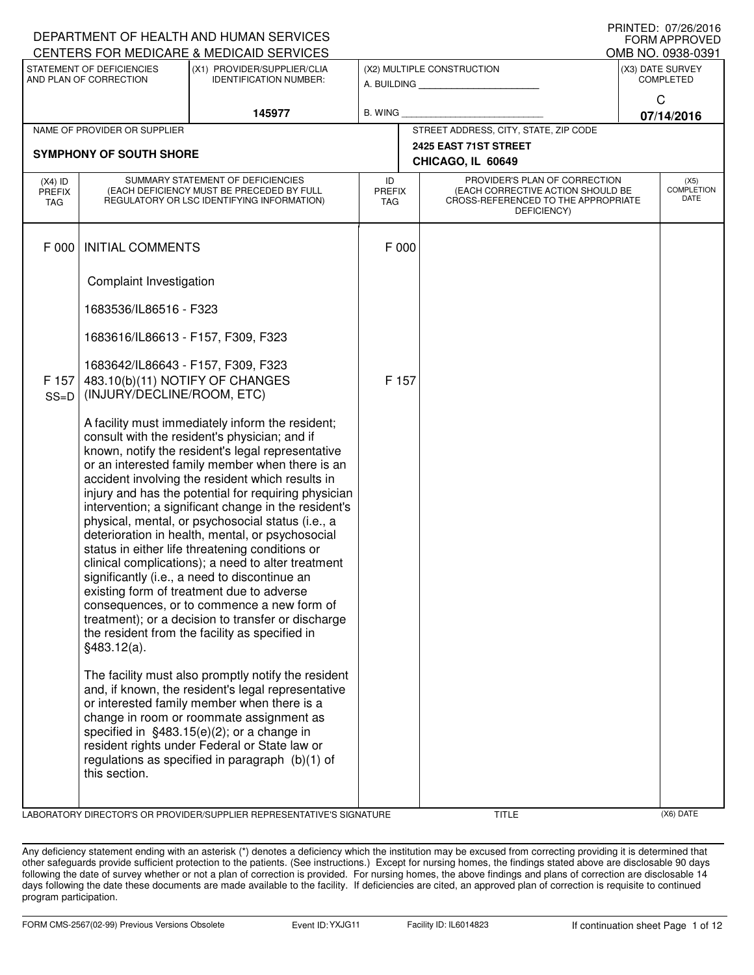|                                          |                                                                                                     | DEPARTMENT OF HEALTH AND HUMAN SERVICES                                                                                                                                                                                                                                                                                                                                                                                                                                                                                                                                                                                                                                                                                                                                                                                                                                                                    |                                       |                                                                                                                          |  | IIIIIIILD. U <i>IIL</i> U/ZUIU<br><b>FORM APPROVED</b> |  |
|------------------------------------------|-----------------------------------------------------------------------------------------------------|------------------------------------------------------------------------------------------------------------------------------------------------------------------------------------------------------------------------------------------------------------------------------------------------------------------------------------------------------------------------------------------------------------------------------------------------------------------------------------------------------------------------------------------------------------------------------------------------------------------------------------------------------------------------------------------------------------------------------------------------------------------------------------------------------------------------------------------------------------------------------------------------------------|---------------------------------------|--------------------------------------------------------------------------------------------------------------------------|--|--------------------------------------------------------|--|
|                                          |                                                                                                     | CENTERS FOR MEDICARE & MEDICAID SERVICES                                                                                                                                                                                                                                                                                                                                                                                                                                                                                                                                                                                                                                                                                                                                                                                                                                                                   |                                       |                                                                                                                          |  | OMB NO. 0938-0391                                      |  |
|                                          | STATEMENT OF DEFICIENCIES<br>AND PLAN OF CORRECTION                                                 | (X1) PROVIDER/SUPPLIER/CLIA<br><b>IDENTIFICATION NUMBER:</b>                                                                                                                                                                                                                                                                                                                                                                                                                                                                                                                                                                                                                                                                                                                                                                                                                                               |                                       | (X2) MULTIPLE CONSTRUCTION<br>A. BUILDING                                                                                |  | (X3) DATE SURVEY<br><b>COMPLETED</b>                   |  |
|                                          |                                                                                                     | 145977                                                                                                                                                                                                                                                                                                                                                                                                                                                                                                                                                                                                                                                                                                                                                                                                                                                                                                     | B. WING                               |                                                                                                                          |  | C<br>07/14/2016                                        |  |
|                                          | NAME OF PROVIDER OR SUPPLIER                                                                        |                                                                                                                                                                                                                                                                                                                                                                                                                                                                                                                                                                                                                                                                                                                                                                                                                                                                                                            | STREET ADDRESS, CITY, STATE, ZIP CODE |                                                                                                                          |  |                                                        |  |
|                                          | <b>SYMPHONY OF SOUTH SHORE</b>                                                                      |                                                                                                                                                                                                                                                                                                                                                                                                                                                                                                                                                                                                                                                                                                                                                                                                                                                                                                            |                                       | 2425 EAST 71ST STREET<br>CHICAGO, IL 60649                                                                               |  |                                                        |  |
| $(X4)$ ID<br><b>PREFIX</b><br><b>TAG</b> |                                                                                                     | SUMMARY STATEMENT OF DEFICIENCIES<br>(EACH DEFICIENCY MUST BE PRECEDED BY FULL<br>REGULATORY OR LSC IDENTIFYING INFORMATION)                                                                                                                                                                                                                                                                                                                                                                                                                                                                                                                                                                                                                                                                                                                                                                               | ID<br><b>PREFIX</b><br><b>TAG</b>     | PROVIDER'S PLAN OF CORRECTION<br>(EACH CORRECTIVE ACTION SHOULD BE<br>CROSS-REFERENCED TO THE APPROPRIATE<br>DEFICIENCY) |  | (X5)<br><b>COMPLETION</b><br>DATE                      |  |
| F 000                                    | <b>INITIAL COMMENTS</b>                                                                             |                                                                                                                                                                                                                                                                                                                                                                                                                                                                                                                                                                                                                                                                                                                                                                                                                                                                                                            | F 000                                 |                                                                                                                          |  |                                                        |  |
|                                          | Complaint Investigation                                                                             |                                                                                                                                                                                                                                                                                                                                                                                                                                                                                                                                                                                                                                                                                                                                                                                                                                                                                                            |                                       |                                                                                                                          |  |                                                        |  |
|                                          | 1683536/IL86516 - F323                                                                              |                                                                                                                                                                                                                                                                                                                                                                                                                                                                                                                                                                                                                                                                                                                                                                                                                                                                                                            |                                       |                                                                                                                          |  |                                                        |  |
|                                          | 1683616/IL86613 - F157, F309, F323                                                                  |                                                                                                                                                                                                                                                                                                                                                                                                                                                                                                                                                                                                                                                                                                                                                                                                                                                                                                            |                                       |                                                                                                                          |  |                                                        |  |
| F 157<br>$SS=D$                          | 1683642/IL86643 - F157, F309, F323<br>483.10(b)(11) NOTIFY OF CHANGES<br>(INJURY/DECLINE/ROOM, ETC) |                                                                                                                                                                                                                                                                                                                                                                                                                                                                                                                                                                                                                                                                                                                                                                                                                                                                                                            | F 157                                 |                                                                                                                          |  |                                                        |  |
|                                          | §483.12(a).                                                                                         | A facility must immediately inform the resident;<br>consult with the resident's physician; and if<br>known, notify the resident's legal representative<br>or an interested family member when there is an<br>accident involving the resident which results in<br>injury and has the potential for requiring physician<br>intervention; a significant change in the resident's<br>physical, mental, or psychosocial status (i.e., a<br>deterioration in health, mental, or psychosocial<br>status in either life threatening conditions or<br>clinical complications); a need to alter treatment<br>significantly (i.e., a need to discontinue an<br>existing form of treatment due to adverse<br>consequences, or to commence a new form of<br>treatment); or a decision to transfer or discharge<br>the resident from the facility as specified in<br>The facility must also promptly notify the resident |                                       |                                                                                                                          |  |                                                        |  |
|                                          | this section.                                                                                       | and, if known, the resident's legal representative<br>or interested family member when there is a<br>change in room or roommate assignment as<br>specified in $§483.15(e)(2)$ ; or a change in<br>resident rights under Federal or State law or<br>regulations as specified in paragraph (b)(1) of                                                                                                                                                                                                                                                                                                                                                                                                                                                                                                                                                                                                         |                                       |                                                                                                                          |  |                                                        |  |

LABORATORY DIRECTOR'S OR PROVIDER/SUPPLIER REPRESENTATIVE'S SIGNATURE THE TITLE THE TITLE (X6) DATE

PRINTED: 07/26/2016

Any deficiency statement ending with an asterisk (\*) denotes a deficiency which the institution may be excused from correcting providing it is determined that other safeguards provide sufficient protection to the patients. (See instructions.) Except for nursing homes, the findings stated above are disclosable 90 days following the date of survey whether or not a plan of correction is provided. For nursing homes, the above findings and plans of correction are disclosable 14 days following the date these documents are made available to the facility. If deficiencies are cited, an approved plan of correction is requisite to continued program participation.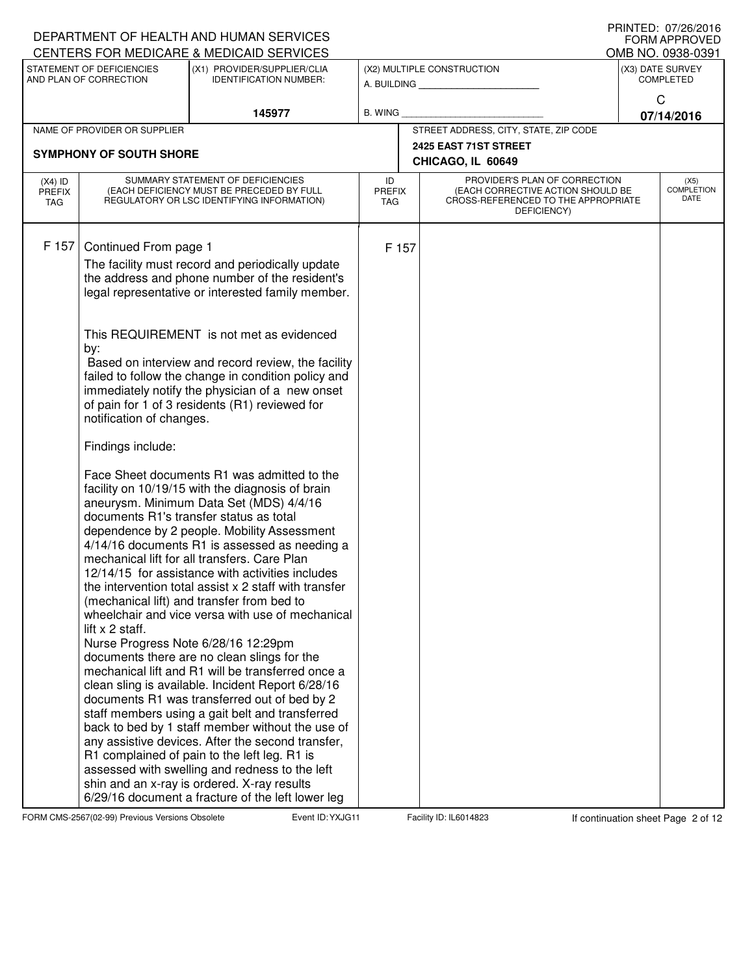|                                          |                                                     | DEPARTMENT OF HEALTH AND HUMAN SERVICES                                                                                      |                                   |                                                                                                           | I IUINILLI. VIILUILUIV<br><b>FORM APPROVED</b> |
|------------------------------------------|-----------------------------------------------------|------------------------------------------------------------------------------------------------------------------------------|-----------------------------------|-----------------------------------------------------------------------------------------------------------|------------------------------------------------|
|                                          |                                                     | CENTERS FOR MEDICARE & MEDICAID SERVICES                                                                                     |                                   |                                                                                                           | OMB NO. 0938-0391                              |
|                                          | STATEMENT OF DEFICIENCIES<br>AND PLAN OF CORRECTION | (X1) PROVIDER/SUPPLIER/CLIA<br><b>IDENTIFICATION NUMBER:</b>                                                                 |                                   | (X2) MULTIPLE CONSTRUCTION<br>A. BUILDING                                                                 | (X3) DATE SURVEY<br><b>COMPLETED</b>           |
|                                          |                                                     |                                                                                                                              |                                   |                                                                                                           | C                                              |
|                                          |                                                     | 145977                                                                                                                       | B. WING                           |                                                                                                           | 07/14/2016                                     |
|                                          | NAME OF PROVIDER OR SUPPLIER                        |                                                                                                                              |                                   | STREET ADDRESS, CITY, STATE, ZIP CODE                                                                     |                                                |
|                                          | <b>SYMPHONY OF SOUTH SHORE</b>                      |                                                                                                                              |                                   | 2425 EAST 71ST STREET                                                                                     |                                                |
|                                          |                                                     |                                                                                                                              |                                   | CHICAGO, IL 60649                                                                                         |                                                |
| $(X4)$ ID<br><b>PREFIX</b><br><b>TAG</b> |                                                     | SUMMARY STATEMENT OF DEFICIENCIES<br>(EACH DEFICIENCY MUST BE PRECEDED BY FULL<br>REGULATORY OR LSC IDENTIFYING INFORMATION) | ID<br><b>PREFIX</b><br><b>TAG</b> | PROVIDER'S PLAN OF CORRECTION<br>(EACH CORRECTIVE ACTION SHOULD BE<br>CROSS-REFERENCED TO THE APPROPRIATE | (X5)<br><b>COMPLETION</b><br>DATE              |
|                                          |                                                     |                                                                                                                              |                                   | DEFICIENCY)                                                                                               |                                                |
|                                          |                                                     |                                                                                                                              |                                   |                                                                                                           |                                                |
| F 157                                    | Continued From page 1                               |                                                                                                                              | F 157                             |                                                                                                           |                                                |
|                                          |                                                     | The facility must record and periodically update<br>the address and phone number of the resident's                           |                                   |                                                                                                           |                                                |
|                                          |                                                     | legal representative or interested family member.                                                                            |                                   |                                                                                                           |                                                |
|                                          |                                                     |                                                                                                                              |                                   |                                                                                                           |                                                |
|                                          | by:                                                 | This REQUIREMENT is not met as evidenced                                                                                     |                                   |                                                                                                           |                                                |
|                                          |                                                     | Based on interview and record review, the facility                                                                           |                                   |                                                                                                           |                                                |
|                                          |                                                     | failed to follow the change in condition policy and                                                                          |                                   |                                                                                                           |                                                |
|                                          |                                                     | immediately notify the physician of a new onset<br>of pain for 1 of 3 residents (R1) reviewed for                            |                                   |                                                                                                           |                                                |
|                                          | notification of changes.                            |                                                                                                                              |                                   |                                                                                                           |                                                |
|                                          | Findings include:                                   |                                                                                                                              |                                   |                                                                                                           |                                                |
|                                          |                                                     | Face Sheet documents R1 was admitted to the                                                                                  |                                   |                                                                                                           |                                                |
|                                          |                                                     | facility on 10/19/15 with the diagnosis of brain<br>aneurysm. Minimum Data Set (MDS) 4/4/16                                  |                                   |                                                                                                           |                                                |
|                                          |                                                     | documents R1's transfer status as total                                                                                      |                                   |                                                                                                           |                                                |
|                                          |                                                     | dependence by 2 people. Mobility Assessment<br>4/14/16 documents R1 is assessed as needing a                                 |                                   |                                                                                                           |                                                |
|                                          |                                                     | mechanical lift for all transfers. Care Plan                                                                                 |                                   |                                                                                                           |                                                |
|                                          |                                                     | 12/14/15 for assistance with activities includes                                                                             |                                   |                                                                                                           |                                                |
|                                          |                                                     | the intervention total assist x 2 staff with transfer                                                                        |                                   |                                                                                                           |                                                |
|                                          |                                                     | (mechanical lift) and transfer from bed to<br>wheelchair and vice versa with use of mechanical                               |                                   |                                                                                                           |                                                |
|                                          | lift x 2 staff.                                     |                                                                                                                              |                                   |                                                                                                           |                                                |
|                                          |                                                     | Nurse Progress Note 6/28/16 12:29pm                                                                                          |                                   |                                                                                                           |                                                |
|                                          |                                                     | documents there are no clean slings for the<br>mechanical lift and R1 will be transferred once a                             |                                   |                                                                                                           |                                                |
|                                          |                                                     | clean sling is available. Incident Report 6/28/16                                                                            |                                   |                                                                                                           |                                                |
|                                          |                                                     | documents R1 was transferred out of bed by 2                                                                                 |                                   |                                                                                                           |                                                |
|                                          |                                                     | staff members using a gait belt and transferred                                                                              |                                   |                                                                                                           |                                                |
|                                          |                                                     | back to bed by 1 staff member without the use of<br>any assistive devices. After the second transfer,                        |                                   |                                                                                                           |                                                |
|                                          |                                                     | R1 complained of pain to the left leg. R1 is                                                                                 |                                   |                                                                                                           |                                                |
|                                          |                                                     | assessed with swelling and redness to the left                                                                               |                                   |                                                                                                           |                                                |
|                                          |                                                     | shin and an x-ray is ordered. X-ray results<br>6/29/16 document a fracture of the left lower leg                             |                                   |                                                                                                           |                                                |
|                                          |                                                     |                                                                                                                              |                                   |                                                                                                           |                                                |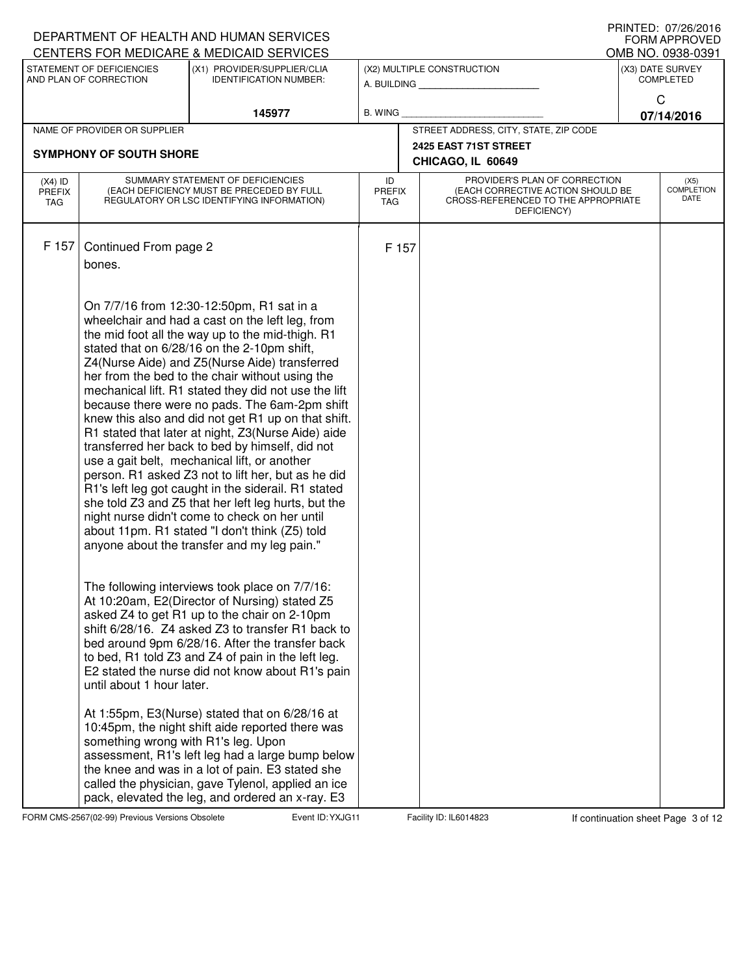|                                          |                                     | DEPARTMENT OF HEALTH AND HUMAN SERVICES                                                                                      |                            |                                                                                                                          | PRINIED: 07/20/2010<br><b>FORM APPROVED</b> |
|------------------------------------------|-------------------------------------|------------------------------------------------------------------------------------------------------------------------------|----------------------------|--------------------------------------------------------------------------------------------------------------------------|---------------------------------------------|
|                                          | STATEMENT OF DEFICIENCIES           | CENTERS FOR MEDICARE & MEDICAID SERVICES<br>(X1) PROVIDER/SUPPLIER/CLIA                                                      |                            | (X2) MULTIPLE CONSTRUCTION                                                                                               | OMB NO. 0938-0391<br>(X3) DATE SURVEY       |
|                                          | AND PLAN OF CORRECTION              | <b>IDENTIFICATION NUMBER:</b>                                                                                                |                            |                                                                                                                          | <b>COMPLETED</b>                            |
|                                          |                                     | 145977                                                                                                                       | <b>B. WING</b>             |                                                                                                                          | C<br>07/14/2016                             |
|                                          | NAME OF PROVIDER OR SUPPLIER        |                                                                                                                              |                            | STREET ADDRESS, CITY, STATE, ZIP CODE                                                                                    |                                             |
|                                          | <b>SYMPHONY OF SOUTH SHORE</b>      |                                                                                                                              |                            | 2425 EAST 71ST STREET                                                                                                    |                                             |
|                                          |                                     |                                                                                                                              |                            | CHICAGO, IL 60649                                                                                                        |                                             |
| $(X4)$ ID<br><b>PREFIX</b><br><b>TAG</b> |                                     | SUMMARY STATEMENT OF DEFICIENCIES<br>(EACH DEFICIENCY MUST BE PRECEDED BY FULL<br>REGULATORY OR LSC IDENTIFYING INFORMATION) | ID<br>PREFIX<br><b>TAG</b> | PROVIDER'S PLAN OF CORRECTION<br>(EACH CORRECTIVE ACTION SHOULD BE<br>CROSS-REFERENCED TO THE APPROPRIATE<br>DEFICIENCY) | (X5)<br><b>COMPLETION</b><br>DATE           |
| F 157                                    |                                     |                                                                                                                              |                            |                                                                                                                          |                                             |
|                                          | Continued From page 2<br>bones.     |                                                                                                                              | F 157                      |                                                                                                                          |                                             |
|                                          |                                     |                                                                                                                              |                            |                                                                                                                          |                                             |
|                                          |                                     |                                                                                                                              |                            |                                                                                                                          |                                             |
|                                          |                                     | On 7/7/16 from 12:30-12:50pm, R1 sat in a<br>wheelchair and had a cast on the left leg, from                                 |                            |                                                                                                                          |                                             |
|                                          |                                     | the mid foot all the way up to the mid-thigh. R1                                                                             |                            |                                                                                                                          |                                             |
|                                          |                                     | stated that on 6/28/16 on the 2-10pm shift,<br>Z4(Nurse Aide) and Z5(Nurse Aide) transferred                                 |                            |                                                                                                                          |                                             |
|                                          |                                     | her from the bed to the chair without using the                                                                              |                            |                                                                                                                          |                                             |
|                                          |                                     | mechanical lift. R1 stated they did not use the lift                                                                         |                            |                                                                                                                          |                                             |
|                                          |                                     | because there were no pads. The 6am-2pm shift<br>knew this also and did not get R1 up on that shift.                         |                            |                                                                                                                          |                                             |
|                                          |                                     | R1 stated that later at night, Z3(Nurse Aide) aide                                                                           |                            |                                                                                                                          |                                             |
|                                          |                                     | transferred her back to bed by himself, did not                                                                              |                            |                                                                                                                          |                                             |
|                                          |                                     | use a gait belt, mechanical lift, or another<br>person. R1 asked Z3 not to lift her, but as he did                           |                            |                                                                                                                          |                                             |
|                                          |                                     | R1's left leg got caught in the siderail. R1 stated                                                                          |                            |                                                                                                                          |                                             |
|                                          |                                     | she told Z3 and Z5 that her left leg hurts, but the                                                                          |                            |                                                                                                                          |                                             |
|                                          |                                     | night nurse didn't come to check on her until<br>about 11pm. R1 stated "I don't think (Z5) told                              |                            |                                                                                                                          |                                             |
|                                          |                                     | anyone about the transfer and my leg pain."                                                                                  |                            |                                                                                                                          |                                             |
|                                          |                                     |                                                                                                                              |                            |                                                                                                                          |                                             |
|                                          |                                     | The following interviews took place on 7/7/16:                                                                               |                            |                                                                                                                          |                                             |
|                                          |                                     | At 10:20am, E2(Director of Nursing) stated Z5                                                                                |                            |                                                                                                                          |                                             |
|                                          |                                     | asked Z4 to get R1 up to the chair on 2-10pm<br>shift 6/28/16. Z4 asked Z3 to transfer R1 back to                            |                            |                                                                                                                          |                                             |
|                                          |                                     | bed around 9pm 6/28/16. After the transfer back                                                                              |                            |                                                                                                                          |                                             |
|                                          |                                     | to bed, R1 told Z3 and Z4 of pain in the left leg.                                                                           |                            |                                                                                                                          |                                             |
|                                          | until about 1 hour later.           | E2 stated the nurse did not know about R1's pain                                                                             |                            |                                                                                                                          |                                             |
|                                          |                                     |                                                                                                                              |                            |                                                                                                                          |                                             |
|                                          |                                     | At 1:55pm, E3(Nurse) stated that on 6/28/16 at                                                                               |                            |                                                                                                                          |                                             |
|                                          | something wrong with R1's leg. Upon | 10:45pm, the night shift aide reported there was                                                                             |                            |                                                                                                                          |                                             |
|                                          |                                     | assessment, R1's left leg had a large bump below                                                                             |                            |                                                                                                                          |                                             |
|                                          |                                     | the knee and was in a lot of pain. E3 stated she                                                                             |                            |                                                                                                                          |                                             |
|                                          |                                     | called the physician, gave Tylenol, applied an ice<br>pack, elevated the leg, and ordered an x-ray. E3                       |                            |                                                                                                                          |                                             |

FORM CMS-2567(02-99) Previous Versions Obsolete Event ID: YXJG11 Facility ID: IL6014823 If continuation sheet Page 3 of 12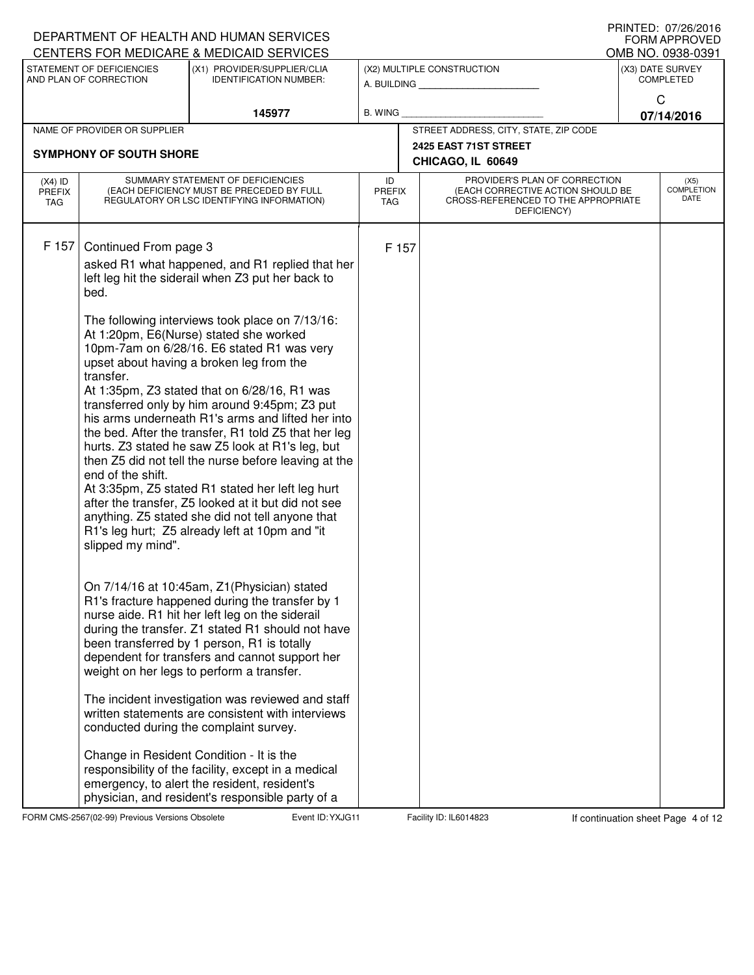|                                   |                                                                                      | DEPARTMENT OF HEALTH AND HUMAN SERVICES<br>CENTERS FOR MEDICARE & MEDICAID SERVICES                                                                                                                                                                                                                                                                                                                                                                                                                                                                                                                                                                                                                                                                                                                                                                                                                                                                                                                                                                                                                                                                                                                                                                                                                                                                                                                                                                   |                                   |                                                                                                                          | PRINIED: 0//20/2010<br><b>FORM APPROVED</b><br>OMB NO. 0938-0391 |
|-----------------------------------|--------------------------------------------------------------------------------------|-------------------------------------------------------------------------------------------------------------------------------------------------------------------------------------------------------------------------------------------------------------------------------------------------------------------------------------------------------------------------------------------------------------------------------------------------------------------------------------------------------------------------------------------------------------------------------------------------------------------------------------------------------------------------------------------------------------------------------------------------------------------------------------------------------------------------------------------------------------------------------------------------------------------------------------------------------------------------------------------------------------------------------------------------------------------------------------------------------------------------------------------------------------------------------------------------------------------------------------------------------------------------------------------------------------------------------------------------------------------------------------------------------------------------------------------------------|-----------------------------------|--------------------------------------------------------------------------------------------------------------------------|------------------------------------------------------------------|
|                                   | STATEMENT OF DEFICIENCIES<br>AND PLAN OF CORRECTION                                  | (X1) PROVIDER/SUPPLIER/CLIA<br><b>IDENTIFICATION NUMBER:</b>                                                                                                                                                                                                                                                                                                                                                                                                                                                                                                                                                                                                                                                                                                                                                                                                                                                                                                                                                                                                                                                                                                                                                                                                                                                                                                                                                                                          |                                   | (X2) MULTIPLE CONSTRUCTION                                                                                               | (X3) DATE SURVEY<br><b>COMPLETED</b>                             |
|                                   |                                                                                      |                                                                                                                                                                                                                                                                                                                                                                                                                                                                                                                                                                                                                                                                                                                                                                                                                                                                                                                                                                                                                                                                                                                                                                                                                                                                                                                                                                                                                                                       |                                   |                                                                                                                          | C                                                                |
|                                   |                                                                                      | 145977                                                                                                                                                                                                                                                                                                                                                                                                                                                                                                                                                                                                                                                                                                                                                                                                                                                                                                                                                                                                                                                                                                                                                                                                                                                                                                                                                                                                                                                | <b>B. WING</b>                    |                                                                                                                          | 07/14/2016                                                       |
|                                   | NAME OF PROVIDER OR SUPPLIER                                                         |                                                                                                                                                                                                                                                                                                                                                                                                                                                                                                                                                                                                                                                                                                                                                                                                                                                                                                                                                                                                                                                                                                                                                                                                                                                                                                                                                                                                                                                       |                                   | STREET ADDRESS, CITY, STATE, ZIP CODE                                                                                    |                                                                  |
|                                   | <b>SYMPHONY OF SOUTH SHORE</b><br>SUMMARY STATEMENT OF DEFICIENCIES                  |                                                                                                                                                                                                                                                                                                                                                                                                                                                                                                                                                                                                                                                                                                                                                                                                                                                                                                                                                                                                                                                                                                                                                                                                                                                                                                                                                                                                                                                       |                                   | 2425 EAST 71ST STREET<br>CHICAGO, IL 60649                                                                               |                                                                  |
| $(X4)$ ID<br><b>PREFIX</b><br>TAG |                                                                                      | (EACH DEFICIENCY MUST BE PRECEDED BY FULL<br>REGULATORY OR LSC IDENTIFYING INFORMATION)                                                                                                                                                                                                                                                                                                                                                                                                                                                                                                                                                                                                                                                                                                                                                                                                                                                                                                                                                                                                                                                                                                                                                                                                                                                                                                                                                               | ID<br><b>PREFIX</b><br><b>TAG</b> | PROVIDER'S PLAN OF CORRECTION<br>(EACH CORRECTIVE ACTION SHOULD BE<br>CROSS-REFERENCED TO THE APPROPRIATE<br>DEFICIENCY) | (X5)<br><b>COMPLETION</b><br>DATE                                |
| F 157                             | Continued From page 3<br>bed.<br>transfer.<br>end of the shift.<br>slipped my mind". | asked R1 what happened, and R1 replied that her<br>left leg hit the siderail when Z3 put her back to<br>The following interviews took place on 7/13/16:<br>At 1:20pm, E6(Nurse) stated she worked<br>10pm-7am on 6/28/16. E6 stated R1 was very<br>upset about having a broken leg from the<br>At 1:35pm, Z3 stated that on 6/28/16, R1 was<br>transferred only by him around 9:45pm; Z3 put<br>his arms underneath R1's arms and lifted her into<br>the bed. After the transfer, R1 told Z5 that her leg<br>hurts. Z3 stated he saw Z5 look at R1's leg, but<br>then Z5 did not tell the nurse before leaving at the<br>At 3:35pm, Z5 stated R1 stated her left leg hurt<br>after the transfer, Z5 looked at it but did not see<br>anything. Z5 stated she did not tell anyone that<br>R1's leg hurt; Z5 already left at 10pm and "it<br>On 7/14/16 at 10:45am, Z1(Physician) stated<br>R1's fracture happened during the transfer by 1<br>nurse aide. R1 hit her left leg on the siderail<br>during the transfer. Z1 stated R1 should not have<br>been transferred by 1 person, R1 is totally<br>dependent for transfers and cannot support her<br>weight on her legs to perform a transfer.<br>The incident investigation was reviewed and staff<br>written statements are consistent with interviews<br>conducted during the complaint survey.<br>Change in Resident Condition - It is the<br>responsibility of the facility, except in a medical | F 157                             |                                                                                                                          |                                                                  |
|                                   |                                                                                      | emergency, to alert the resident, resident's<br>physician, and resident's responsible party of a                                                                                                                                                                                                                                                                                                                                                                                                                                                                                                                                                                                                                                                                                                                                                                                                                                                                                                                                                                                                                                                                                                                                                                                                                                                                                                                                                      |                                   |                                                                                                                          |                                                                  |

FORM CMS-2567(02-99) Previous Versions Obsolete **Figure 10: YXJG11** Facility ID: IL6014823 If continuation sheet Page 4 of 12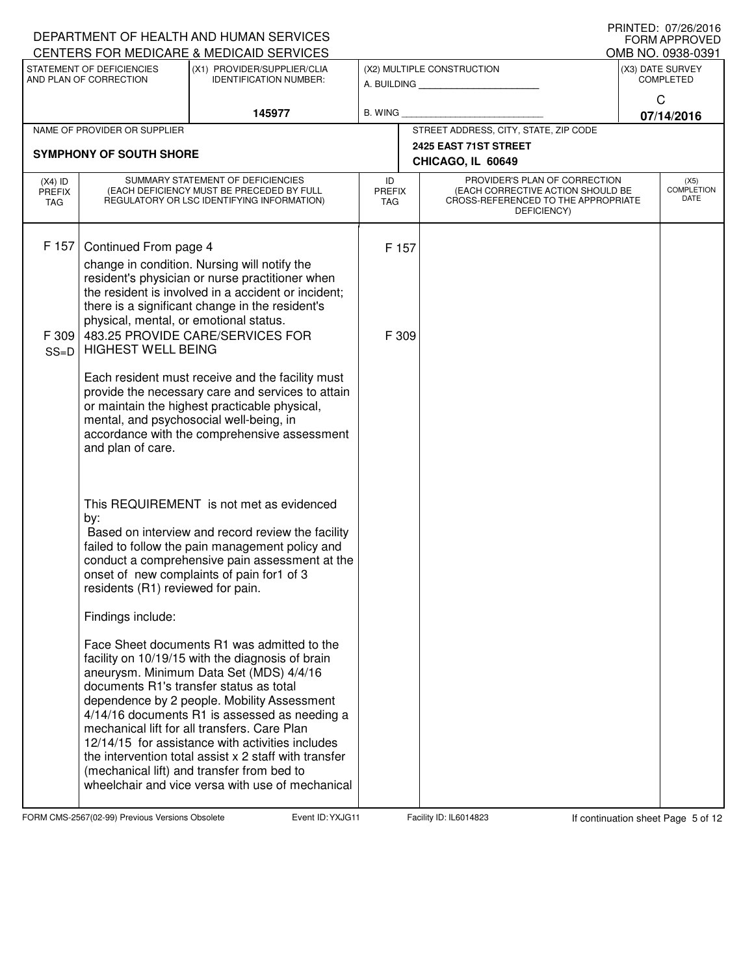|                                   |                                        | DEPARTMENT OF HEALTH AND HUMAN SERVICES<br>CENTERS FOR MEDICARE & MEDICAID SERVICES                                          |                                   |                                                                                                                          | IIIIIIILD. U <i>IIL</i> U/LUIU<br><b>FORM APPROVED</b><br>OMB NO. 0938-0391 |
|-----------------------------------|----------------------------------------|------------------------------------------------------------------------------------------------------------------------------|-----------------------------------|--------------------------------------------------------------------------------------------------------------------------|-----------------------------------------------------------------------------|
|                                   | STATEMENT OF DEFICIENCIES              | (X1) PROVIDER/SUPPLIER/CLIA                                                                                                  |                                   | (X2) MULTIPLE CONSTRUCTION                                                                                               | (X3) DATE SURVEY                                                            |
|                                   | AND PLAN OF CORRECTION                 | <b>IDENTIFICATION NUMBER:</b>                                                                                                |                                   | A. BUILDING                                                                                                              | <b>COMPLETED</b>                                                            |
|                                   |                                        | 145977                                                                                                                       | <b>B. WING</b>                    |                                                                                                                          | C<br>07/14/2016                                                             |
|                                   | NAME OF PROVIDER OR SUPPLIER           |                                                                                                                              |                                   | STREET ADDRESS, CITY, STATE, ZIP CODE                                                                                    |                                                                             |
|                                   | <b>SYMPHONY OF SOUTH SHORE</b>         |                                                                                                                              |                                   | 2425 EAST 71ST STREET                                                                                                    |                                                                             |
|                                   |                                        |                                                                                                                              |                                   | CHICAGO, IL 60649                                                                                                        |                                                                             |
| $(X4)$ ID<br><b>PREFIX</b><br>TAG |                                        | SUMMARY STATEMENT OF DEFICIENCIES<br>(EACH DEFICIENCY MUST BE PRECEDED BY FULL<br>REGULATORY OR LSC IDENTIFYING INFORMATION) | ID<br><b>PREFIX</b><br><b>TAG</b> | PROVIDER'S PLAN OF CORRECTION<br>(EACH CORRECTIVE ACTION SHOULD BE<br>CROSS-REFERENCED TO THE APPROPRIATE<br>DEFICIENCY) | (X5)<br><b>COMPLETION</b><br><b>DATE</b>                                    |
| F 157                             |                                        |                                                                                                                              |                                   |                                                                                                                          |                                                                             |
|                                   | Continued From page 4                  | change in condition. Nursing will notify the                                                                                 | F 157                             |                                                                                                                          |                                                                             |
|                                   |                                        | resident's physician or nurse practitioner when                                                                              |                                   |                                                                                                                          |                                                                             |
|                                   |                                        | the resident is involved in a accident or incident;<br>there is a significant change in the resident's                       |                                   |                                                                                                                          |                                                                             |
|                                   | physical, mental, or emotional status. |                                                                                                                              |                                   |                                                                                                                          |                                                                             |
| F 309                             | <b>HIGHEST WELL BEING</b>              | 483.25 PROVIDE CARE/SERVICES FOR                                                                                             | F 309                             |                                                                                                                          |                                                                             |
| $SS=D$                            |                                        |                                                                                                                              |                                   |                                                                                                                          |                                                                             |
|                                   |                                        | Each resident must receive and the facility must<br>provide the necessary care and services to attain                        |                                   |                                                                                                                          |                                                                             |
|                                   |                                        | or maintain the highest practicable physical,                                                                                |                                   |                                                                                                                          |                                                                             |
|                                   |                                        | mental, and psychosocial well-being, in<br>accordance with the comprehensive assessment                                      |                                   |                                                                                                                          |                                                                             |
|                                   | and plan of care.                      |                                                                                                                              |                                   |                                                                                                                          |                                                                             |
|                                   |                                        |                                                                                                                              |                                   |                                                                                                                          |                                                                             |
|                                   |                                        |                                                                                                                              |                                   |                                                                                                                          |                                                                             |
|                                   |                                        | This REQUIREMENT is not met as evidenced                                                                                     |                                   |                                                                                                                          |                                                                             |
|                                   | by:                                    | Based on interview and record review the facility                                                                            |                                   |                                                                                                                          |                                                                             |
|                                   |                                        | failed to follow the pain management policy and                                                                              |                                   |                                                                                                                          |                                                                             |
|                                   |                                        | conduct a comprehensive pain assessment at the<br>onset of new complaints of pain for1 of 3                                  |                                   |                                                                                                                          |                                                                             |
|                                   | residents (R1) reviewed for pain.      |                                                                                                                              |                                   |                                                                                                                          |                                                                             |
|                                   | Findings include:                      |                                                                                                                              |                                   |                                                                                                                          |                                                                             |
|                                   |                                        | Face Sheet documents R1 was admitted to the<br>facility on 10/19/15 with the diagnosis of brain                              |                                   |                                                                                                                          |                                                                             |
|                                   |                                        | aneurysm. Minimum Data Set (MDS) 4/4/16                                                                                      |                                   |                                                                                                                          |                                                                             |
|                                   |                                        | documents R1's transfer status as total<br>dependence by 2 people. Mobility Assessment                                       |                                   |                                                                                                                          |                                                                             |
|                                   |                                        | 4/14/16 documents R1 is assessed as needing a                                                                                |                                   |                                                                                                                          |                                                                             |
|                                   |                                        | mechanical lift for all transfers. Care Plan<br>12/14/15 for assistance with activities includes                             |                                   |                                                                                                                          |                                                                             |
|                                   |                                        | the intervention total assist x 2 staff with transfer                                                                        |                                   |                                                                                                                          |                                                                             |
|                                   |                                        | (mechanical lift) and transfer from bed to<br>wheelchair and vice versa with use of mechanical                               |                                   |                                                                                                                          |                                                                             |
|                                   |                                        |                                                                                                                              |                                   |                                                                                                                          |                                                                             |

FORM CMS-2567(02-99) Previous Versions Obsolete Event ID: YXJG11 Facility ID: IL6014823 If continuation sheet Page 5 of 12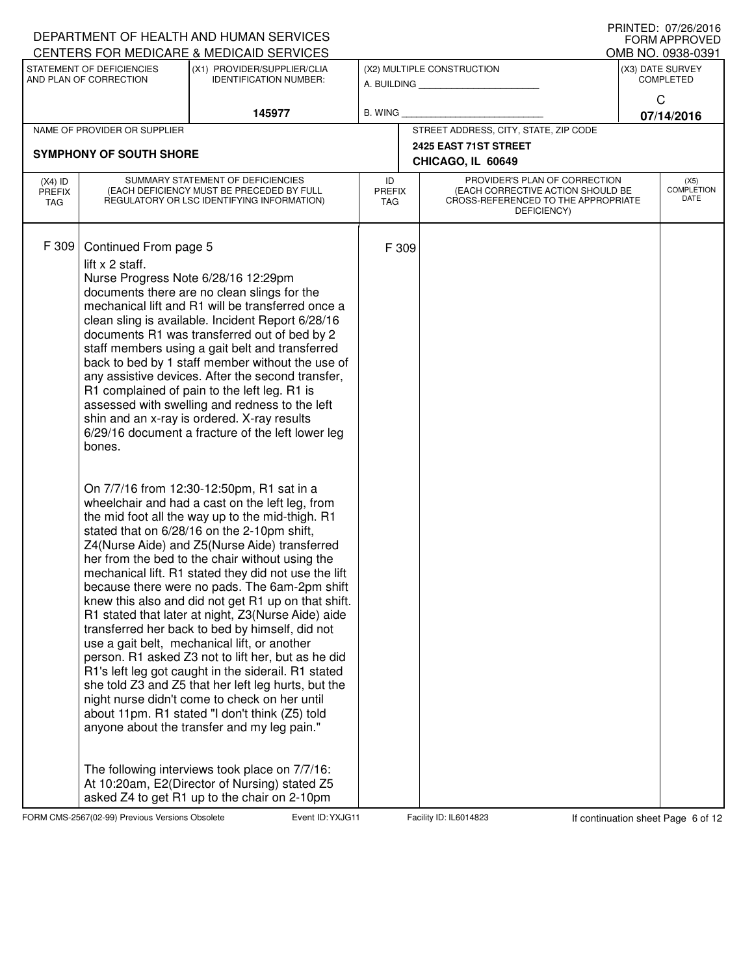|                            |                                                     | DEPARTMENT OF HEALTH AND HUMAN SERVICES<br>CENTERS FOR MEDICARE & MEDICAID SERVICES                                                                                                                                                                                                                                                                                                                                                                                                                                                                                                                                                                                                                                                                                                                                                                                                                                                                                                                                                                                                                                                                                                                                                                                                                                                                                                                                                                                                                                                                                                                                    |                                   |                                                                                                                          | PRINIED: 07/20/2010<br><b>FORM APPROVED</b><br>OMB NO. 0938-0391 |
|----------------------------|-----------------------------------------------------|------------------------------------------------------------------------------------------------------------------------------------------------------------------------------------------------------------------------------------------------------------------------------------------------------------------------------------------------------------------------------------------------------------------------------------------------------------------------------------------------------------------------------------------------------------------------------------------------------------------------------------------------------------------------------------------------------------------------------------------------------------------------------------------------------------------------------------------------------------------------------------------------------------------------------------------------------------------------------------------------------------------------------------------------------------------------------------------------------------------------------------------------------------------------------------------------------------------------------------------------------------------------------------------------------------------------------------------------------------------------------------------------------------------------------------------------------------------------------------------------------------------------------------------------------------------------------------------------------------------------|-----------------------------------|--------------------------------------------------------------------------------------------------------------------------|------------------------------------------------------------------|
|                            | STATEMENT OF DEFICIENCIES<br>AND PLAN OF CORRECTION | (X1) PROVIDER/SUPPLIER/CLIA<br><b>IDENTIFICATION NUMBER:</b>                                                                                                                                                                                                                                                                                                                                                                                                                                                                                                                                                                                                                                                                                                                                                                                                                                                                                                                                                                                                                                                                                                                                                                                                                                                                                                                                                                                                                                                                                                                                                           |                                   | (X2) MULTIPLE CONSTRUCTION                                                                                               | (X3) DATE SURVEY<br><b>COMPLETED</b>                             |
|                            |                                                     |                                                                                                                                                                                                                                                                                                                                                                                                                                                                                                                                                                                                                                                                                                                                                                                                                                                                                                                                                                                                                                                                                                                                                                                                                                                                                                                                                                                                                                                                                                                                                                                                                        |                                   |                                                                                                                          | C                                                                |
|                            |                                                     | 145977                                                                                                                                                                                                                                                                                                                                                                                                                                                                                                                                                                                                                                                                                                                                                                                                                                                                                                                                                                                                                                                                                                                                                                                                                                                                                                                                                                                                                                                                                                                                                                                                                 | B. WING                           |                                                                                                                          | 07/14/2016                                                       |
|                            | NAME OF PROVIDER OR SUPPLIER                        |                                                                                                                                                                                                                                                                                                                                                                                                                                                                                                                                                                                                                                                                                                                                                                                                                                                                                                                                                                                                                                                                                                                                                                                                                                                                                                                                                                                                                                                                                                                                                                                                                        |                                   | STREET ADDRESS, CITY, STATE, ZIP CODE<br>2425 EAST 71ST STREET                                                           |                                                                  |
|                            | <b>SYMPHONY OF SOUTH SHORE</b>                      |                                                                                                                                                                                                                                                                                                                                                                                                                                                                                                                                                                                                                                                                                                                                                                                                                                                                                                                                                                                                                                                                                                                                                                                                                                                                                                                                                                                                                                                                                                                                                                                                                        |                                   | CHICAGO, IL 60649                                                                                                        |                                                                  |
| $(X4)$ ID<br>PREFIX<br>TAG |                                                     | SUMMARY STATEMENT OF DEFICIENCIES<br>(EACH DEFICIENCY MUST BE PRECEDED BY FULL<br>REGULATORY OR LSC IDENTIFYING INFORMATION)                                                                                                                                                                                                                                                                                                                                                                                                                                                                                                                                                                                                                                                                                                                                                                                                                                                                                                                                                                                                                                                                                                                                                                                                                                                                                                                                                                                                                                                                                           | ID<br><b>PREFIX</b><br><b>TAG</b> | PROVIDER'S PLAN OF CORRECTION<br>(EACH CORRECTIVE ACTION SHOULD BE<br>CROSS-REFERENCED TO THE APPROPRIATE<br>DEFICIENCY) | (X5)<br><b>COMPLETION</b><br>DATE                                |
| F 309                      | Continued From page 5<br>lift x 2 staff.<br>bones.  | Nurse Progress Note 6/28/16 12:29pm<br>documents there are no clean slings for the<br>mechanical lift and R1 will be transferred once a<br>clean sling is available. Incident Report 6/28/16<br>documents R1 was transferred out of bed by 2<br>staff members using a gait belt and transferred<br>back to bed by 1 staff member without the use of<br>any assistive devices. After the second transfer,<br>R1 complained of pain to the left leg. R1 is<br>assessed with swelling and redness to the left<br>shin and an x-ray is ordered. X-ray results<br>6/29/16 document a fracture of the left lower leg<br>On 7/7/16 from 12:30-12:50pm, R1 sat in a<br>wheelchair and had a cast on the left leg, from<br>the mid foot all the way up to the mid-thigh. R1<br>stated that on 6/28/16 on the 2-10pm shift,<br>Z4(Nurse Aide) and Z5(Nurse Aide) transferred<br>her from the bed to the chair without using the<br>mechanical lift. R1 stated they did not use the lift<br>because there were no pads. The 6am-2pm shift<br>knew this also and did not get R1 up on that shift.<br>R1 stated that later at night, Z3(Nurse Aide) aide<br>transferred her back to bed by himself, did not<br>use a gait belt, mechanical lift, or another<br>person. R1 asked Z3 not to lift her, but as he did<br>R1's left leg got caught in the siderail. R1 stated<br>she told Z3 and Z5 that her left leg hurts, but the<br>night nurse didn't come to check on her until<br>about 11pm. R1 stated "I don't think (Z5) told<br>anyone about the transfer and my leg pain."<br>The following interviews took place on 7/7/16: | F 309                             |                                                                                                                          |                                                                  |
|                            |                                                     | At 10:20am, E2(Director of Nursing) stated Z5<br>asked Z4 to get R1 up to the chair on 2-10pm                                                                                                                                                                                                                                                                                                                                                                                                                                                                                                                                                                                                                                                                                                                                                                                                                                                                                                                                                                                                                                                                                                                                                                                                                                                                                                                                                                                                                                                                                                                          |                                   |                                                                                                                          |                                                                  |

FORM CMS-2567(02-99) Previous Versions Obsolete **Figure 10: YXJG11** Facility ID: IL6014823 If continuation sheet Page 6 of 12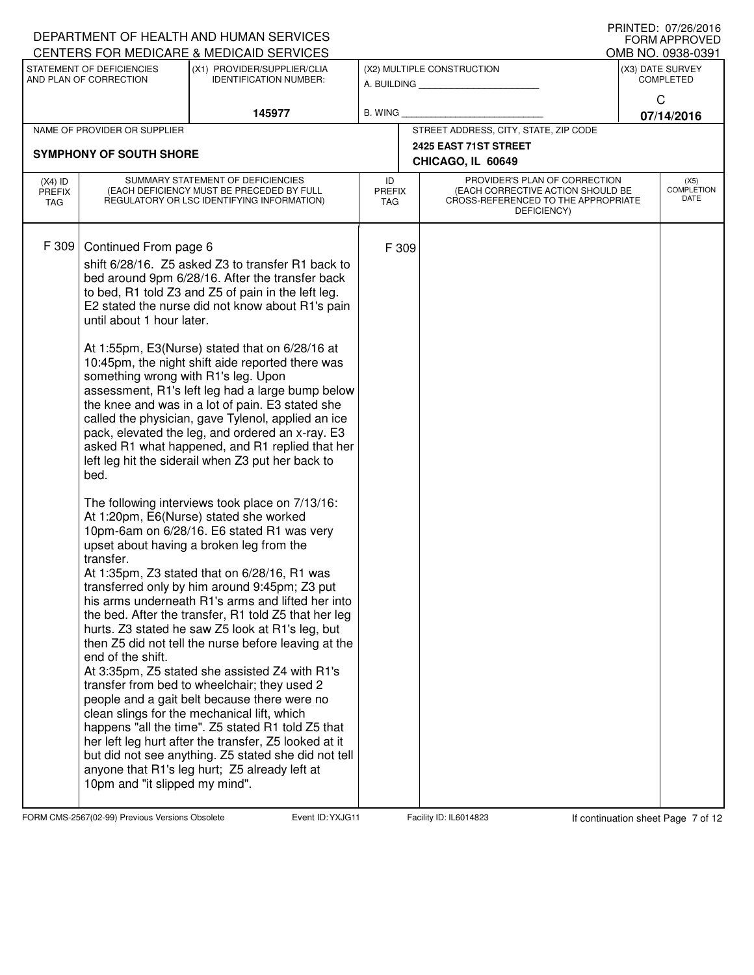|                                   |                                                                                                                                                                       | DEPARTMENT OF HEALTH AND HUMAN SERVICES                                                                                                                                                                                                                                                                                                                                                                                                                                                                                                                                                                                                                                                                                                                                                                                                                                                                                                                                                                                                                                                                                                                                                                                                                                                                                                                                                                                                                                                                                                                                                 |                                   |       |                                                                                                                          |              | I IUINILLI. VIILUILUIV<br><b>FORM APPROVED</b> |
|-----------------------------------|-----------------------------------------------------------------------------------------------------------------------------------------------------------------------|-----------------------------------------------------------------------------------------------------------------------------------------------------------------------------------------------------------------------------------------------------------------------------------------------------------------------------------------------------------------------------------------------------------------------------------------------------------------------------------------------------------------------------------------------------------------------------------------------------------------------------------------------------------------------------------------------------------------------------------------------------------------------------------------------------------------------------------------------------------------------------------------------------------------------------------------------------------------------------------------------------------------------------------------------------------------------------------------------------------------------------------------------------------------------------------------------------------------------------------------------------------------------------------------------------------------------------------------------------------------------------------------------------------------------------------------------------------------------------------------------------------------------------------------------------------------------------------------|-----------------------------------|-------|--------------------------------------------------------------------------------------------------------------------------|--------------|------------------------------------------------|
|                                   | STATEMENT OF DEFICIENCIES                                                                                                                                             | CENTERS FOR MEDICARE & MEDICAID SERVICES<br>(X1) PROVIDER/SUPPLIER/CLIA                                                                                                                                                                                                                                                                                                                                                                                                                                                                                                                                                                                                                                                                                                                                                                                                                                                                                                                                                                                                                                                                                                                                                                                                                                                                                                                                                                                                                                                                                                                 |                                   |       | (X2) MULTIPLE CONSTRUCTION                                                                                               |              | OMB NO. 0938-0391<br>(X3) DATE SURVEY          |
|                                   | AND PLAN OF CORRECTION                                                                                                                                                | <b>IDENTIFICATION NUMBER:</b>                                                                                                                                                                                                                                                                                                                                                                                                                                                                                                                                                                                                                                                                                                                                                                                                                                                                                                                                                                                                                                                                                                                                                                                                                                                                                                                                                                                                                                                                                                                                                           |                                   |       | A. BUILDING                                                                                                              |              | <b>COMPLETED</b>                               |
|                                   |                                                                                                                                                                       |                                                                                                                                                                                                                                                                                                                                                                                                                                                                                                                                                                                                                                                                                                                                                                                                                                                                                                                                                                                                                                                                                                                                                                                                                                                                                                                                                                                                                                                                                                                                                                                         |                                   |       |                                                                                                                          | $\mathsf{C}$ |                                                |
|                                   | NAME OF PROVIDER OR SUPPLIER                                                                                                                                          | 145977                                                                                                                                                                                                                                                                                                                                                                                                                                                                                                                                                                                                                                                                                                                                                                                                                                                                                                                                                                                                                                                                                                                                                                                                                                                                                                                                                                                                                                                                                                                                                                                  | B. WING                           |       | STREET ADDRESS, CITY, STATE, ZIP CODE                                                                                    |              | 07/14/2016                                     |
|                                   |                                                                                                                                                                       |                                                                                                                                                                                                                                                                                                                                                                                                                                                                                                                                                                                                                                                                                                                                                                                                                                                                                                                                                                                                                                                                                                                                                                                                                                                                                                                                                                                                                                                                                                                                                                                         |                                   |       | 2425 EAST 71ST STREET                                                                                                    |              |                                                |
|                                   | <b>SYMPHONY OF SOUTH SHORE</b>                                                                                                                                        |                                                                                                                                                                                                                                                                                                                                                                                                                                                                                                                                                                                                                                                                                                                                                                                                                                                                                                                                                                                                                                                                                                                                                                                                                                                                                                                                                                                                                                                                                                                                                                                         |                                   |       | CHICAGO, IL 60649                                                                                                        |              |                                                |
| $(X4)$ ID<br><b>PREFIX</b><br>TAG |                                                                                                                                                                       | SUMMARY STATEMENT OF DEFICIENCIES<br>(EACH DEFICIENCY MUST BE PRECEDED BY FULL<br>REGULATORY OR LSC IDENTIFYING INFORMATION)                                                                                                                                                                                                                                                                                                                                                                                                                                                                                                                                                                                                                                                                                                                                                                                                                                                                                                                                                                                                                                                                                                                                                                                                                                                                                                                                                                                                                                                            | ID<br><b>PREFIX</b><br><b>TAG</b> |       | PROVIDER'S PLAN OF CORRECTION<br>(EACH CORRECTIVE ACTION SHOULD BE<br>CROSS-REFERENCED TO THE APPROPRIATE<br>DEFICIENCY) |              | (X5)<br><b>COMPLETION</b><br>DATE              |
| F 309                             | Continued From page 6<br>until about 1 hour later.<br>something wrong with R1's leg. Upon<br>bed.<br>transfer.<br>end of the shift.<br>10pm and "it slipped my mind". | shift 6/28/16. Z5 asked Z3 to transfer R1 back to<br>bed around 9pm 6/28/16. After the transfer back<br>to bed, R1 told Z3 and Z5 of pain in the left leg.<br>E2 stated the nurse did not know about R1's pain<br>At 1:55pm, E3(Nurse) stated that on 6/28/16 at<br>10:45pm, the night shift aide reported there was<br>assessment, R1's left leg had a large bump below<br>the knee and was in a lot of pain. E3 stated she<br>called the physician, gave Tylenol, applied an ice<br>pack, elevated the leg, and ordered an x-ray. E3<br>asked R1 what happened, and R1 replied that her<br>left leg hit the siderail when Z3 put her back to<br>The following interviews took place on 7/13/16:<br>At 1:20pm, E6(Nurse) stated she worked<br>10pm-6am on 6/28/16. E6 stated R1 was very<br>upset about having a broken leg from the<br>At 1:35pm, Z3 stated that on 6/28/16, R1 was<br>transferred only by him around 9:45pm; Z3 put<br>his arms underneath R1's arms and lifted her into<br>the bed. After the transfer, R1 told Z5 that her leg<br>hurts. Z3 stated he saw Z5 look at R1's leg, but<br>then Z5 did not tell the nurse before leaving at the<br>At 3:35pm, Z5 stated she assisted Z4 with R1's<br>transfer from bed to wheelchair; they used 2<br>people and a gait belt because there were no<br>clean slings for the mechanical lift, which<br>happens "all the time". Z5 stated R1 told Z5 that<br>her left leg hurt after the transfer, Z5 looked at it<br>but did not see anything. Z5 stated she did not tell<br>anyone that R1's leg hurt; Z5 already left at |                                   | F 309 |                                                                                                                          |              |                                                |

FORM CMS-2567(02-99) Previous Versions Obsolete **Figure 10: YXJG11** Facility ID: IL6014823 If continuation sheet Page 7 of 12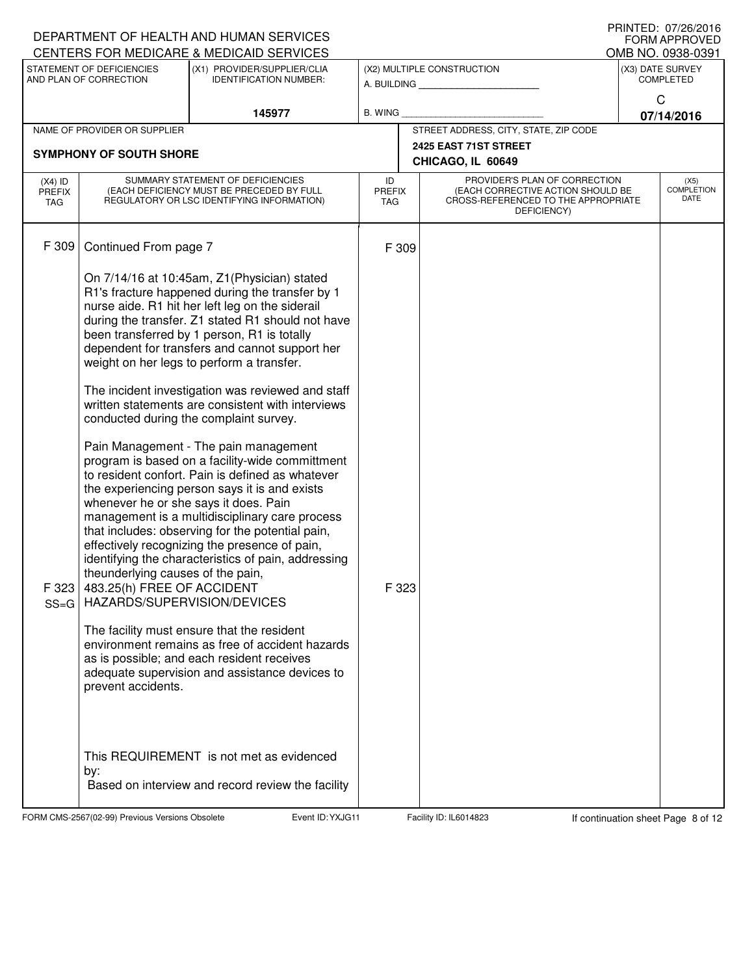|                                          |                                                                                                                                                                                | DEPARTMENT OF HEALTH AND HUMAN SERVICES<br>CENTERS FOR MEDICARE & MEDICAID SERVICES                                                                                                                                                                                                                                                                                                                                                                                                                                                                                                                                                                                                                                                                                                                                                                                                                                                                                                                                                                                                                                                                                  |                            |                                                                |                                                                                                                          |            | PRINIED: 07/20/2010<br><b>FORM APPROVED</b><br>OMB NO. 0938-0391 |
|------------------------------------------|--------------------------------------------------------------------------------------------------------------------------------------------------------------------------------|----------------------------------------------------------------------------------------------------------------------------------------------------------------------------------------------------------------------------------------------------------------------------------------------------------------------------------------------------------------------------------------------------------------------------------------------------------------------------------------------------------------------------------------------------------------------------------------------------------------------------------------------------------------------------------------------------------------------------------------------------------------------------------------------------------------------------------------------------------------------------------------------------------------------------------------------------------------------------------------------------------------------------------------------------------------------------------------------------------------------------------------------------------------------|----------------------------|----------------------------------------------------------------|--------------------------------------------------------------------------------------------------------------------------|------------|------------------------------------------------------------------|
|                                          | STATEMENT OF DEFICIENCIES<br>AND PLAN OF CORRECTION                                                                                                                            | (X1) PROVIDER/SUPPLIER/CLIA<br><b>IDENTIFICATION NUMBER:</b>                                                                                                                                                                                                                                                                                                                                                                                                                                                                                                                                                                                                                                                                                                                                                                                                                                                                                                                                                                                                                                                                                                         |                            |                                                                | (X2) MULTIPLE CONSTRUCTION                                                                                               |            | (X3) DATE SURVEY<br><b>COMPLETED</b>                             |
|                                          |                                                                                                                                                                                |                                                                                                                                                                                                                                                                                                                                                                                                                                                                                                                                                                                                                                                                                                                                                                                                                                                                                                                                                                                                                                                                                                                                                                      |                            |                                                                |                                                                                                                          |            | C                                                                |
|                                          |                                                                                                                                                                                | 145977                                                                                                                                                                                                                                                                                                                                                                                                                                                                                                                                                                                                                                                                                                                                                                                                                                                                                                                                                                                                                                                                                                                                                               | B. WING                    |                                                                |                                                                                                                          | 07/14/2016 |                                                                  |
|                                          | NAME OF PROVIDER OR SUPPLIER                                                                                                                                                   |                                                                                                                                                                                                                                                                                                                                                                                                                                                                                                                                                                                                                                                                                                                                                                                                                                                                                                                                                                                                                                                                                                                                                                      |                            | STREET ADDRESS, CITY, STATE, ZIP CODE<br>2425 EAST 71ST STREET |                                                                                                                          |            |                                                                  |
|                                          | <b>SYMPHONY OF SOUTH SHORE</b>                                                                                                                                                 | CHICAGO, IL 60649                                                                                                                                                                                                                                                                                                                                                                                                                                                                                                                                                                                                                                                                                                                                                                                                                                                                                                                                                                                                                                                                                                                                                    |                            |                                                                |                                                                                                                          |            |                                                                  |
| $(X4)$ ID<br><b>PREFIX</b><br><b>TAG</b> |                                                                                                                                                                                | SUMMARY STATEMENT OF DEFICIENCIES<br>(EACH DEFICIENCY MUST BE PRECEDED BY FULL<br>REGULATORY OR LSC IDENTIFYING INFORMATION)                                                                                                                                                                                                                                                                                                                                                                                                                                                                                                                                                                                                                                                                                                                                                                                                                                                                                                                                                                                                                                         | ID<br>PREFIX<br><b>TAG</b> |                                                                | PROVIDER'S PLAN OF CORRECTION<br>(EACH CORRECTIVE ACTION SHOULD BE<br>CROSS-REFERENCED TO THE APPROPRIATE<br>DEFICIENCY) |            | (X5)<br><b>COMPLETION</b><br>DATE                                |
| F 309                                    | Continued From page 7                                                                                                                                                          |                                                                                                                                                                                                                                                                                                                                                                                                                                                                                                                                                                                                                                                                                                                                                                                                                                                                                                                                                                                                                                                                                                                                                                      | F 309                      |                                                                |                                                                                                                          |            |                                                                  |
| $SS = G$                                 | whenever he or she says it does. Pain<br>theunderlying causes of the pain,<br>F 323 $ $ 483.25(h) FREE OF ACCIDENT<br>HAZARDS/SUPERVISION/DEVICES<br>prevent accidents.<br>by: | On 7/14/16 at 10:45am, Z1(Physician) stated<br>R1's fracture happened during the transfer by 1<br>nurse aide. R1 hit her left leg on the siderail<br>during the transfer. Z1 stated R1 should not have<br>been transferred by 1 person, R1 is totally<br>dependent for transfers and cannot support her<br>weight on her legs to perform a transfer.<br>The incident investigation was reviewed and staff<br>written statements are consistent with interviews<br>conducted during the complaint survey.<br>Pain Management - The pain management<br>program is based on a facility-wide committment<br>to resident confort. Pain is defined as whatever<br>the experiencing person says it is and exists<br>management is a multidisciplinary care process<br>that includes: observing for the potential pain,<br>effectively recognizing the presence of pain,<br>identifying the characteristics of pain, addressing<br>The facility must ensure that the resident<br>environment remains as free of accident hazards<br>as is possible; and each resident receives<br>adequate supervision and assistance devices to<br>This REQUIREMENT is not met as evidenced | F 323                      |                                                                |                                                                                                                          |            |                                                                  |
|                                          |                                                                                                                                                                                | Based on interview and record review the facility                                                                                                                                                                                                                                                                                                                                                                                                                                                                                                                                                                                                                                                                                                                                                                                                                                                                                                                                                                                                                                                                                                                    |                            |                                                                |                                                                                                                          |            |                                                                  |

FORM CMS-2567(02-99) Previous Versions Obsolete **Figure 10: YXJG11** Facility ID: IL6014823 If continuation sheet Page 8 of 12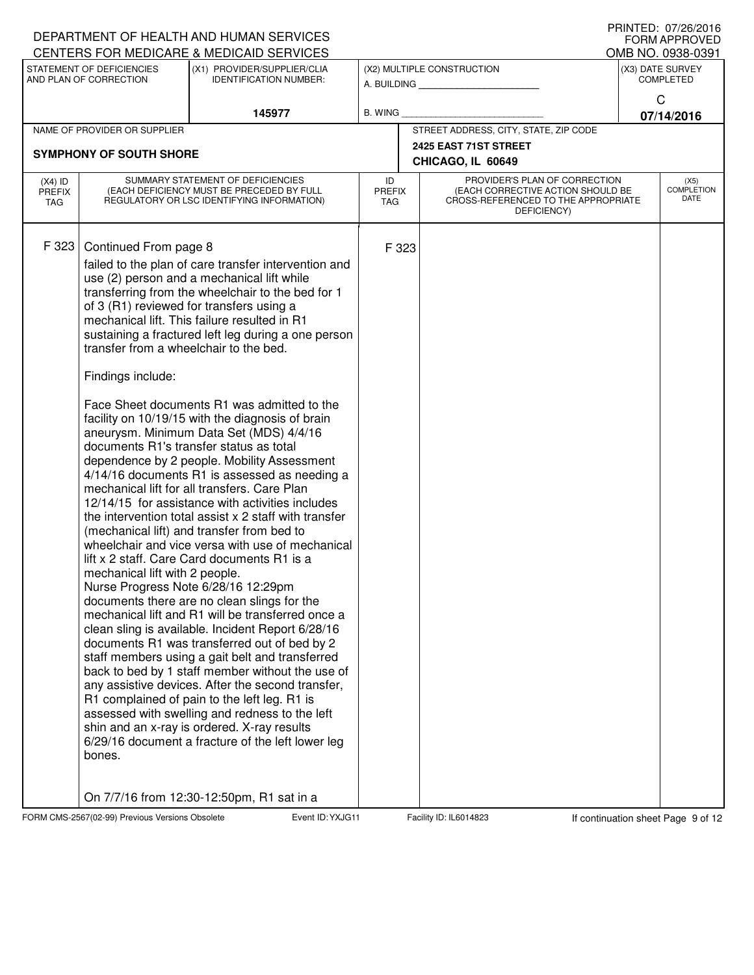|                                   |                                                                                                                                  | DEPARTMENT OF HEALTH AND HUMAN SERVICES                                                                                                                                                                                                                                                                                                                                                                                                                                                                                                                                                                                                                                                                                                                                                                                                                                                                                                                                                                                                                                                                                                                                                                                                                                                                                                                                                                                                                                                                                             |                                   |       |                                                                                                                          |  | I INIVILD. VI/LU/LUIV<br><b>FORM APPROVED</b> |
|-----------------------------------|----------------------------------------------------------------------------------------------------------------------------------|-------------------------------------------------------------------------------------------------------------------------------------------------------------------------------------------------------------------------------------------------------------------------------------------------------------------------------------------------------------------------------------------------------------------------------------------------------------------------------------------------------------------------------------------------------------------------------------------------------------------------------------------------------------------------------------------------------------------------------------------------------------------------------------------------------------------------------------------------------------------------------------------------------------------------------------------------------------------------------------------------------------------------------------------------------------------------------------------------------------------------------------------------------------------------------------------------------------------------------------------------------------------------------------------------------------------------------------------------------------------------------------------------------------------------------------------------------------------------------------------------------------------------------------|-----------------------------------|-------|--------------------------------------------------------------------------------------------------------------------------|--|-----------------------------------------------|
|                                   |                                                                                                                                  | CENTERS FOR MEDICARE & MEDICAID SERVICES                                                                                                                                                                                                                                                                                                                                                                                                                                                                                                                                                                                                                                                                                                                                                                                                                                                                                                                                                                                                                                                                                                                                                                                                                                                                                                                                                                                                                                                                                            |                                   |       |                                                                                                                          |  | OMB NO. 0938-0391                             |
|                                   | STATEMENT OF DEFICIENCIES<br>AND PLAN OF CORRECTION                                                                              | (X1) PROVIDER/SUPPLIER/CLIA<br><b>IDENTIFICATION NUMBER:</b>                                                                                                                                                                                                                                                                                                                                                                                                                                                                                                                                                                                                                                                                                                                                                                                                                                                                                                                                                                                                                                                                                                                                                                                                                                                                                                                                                                                                                                                                        |                                   |       | (X2) MULTIPLE CONSTRUCTION<br>A. BUILDING                                                                                |  | (X3) DATE SURVEY<br><b>COMPLETED</b>          |
|                                   |                                                                                                                                  |                                                                                                                                                                                                                                                                                                                                                                                                                                                                                                                                                                                                                                                                                                                                                                                                                                                                                                                                                                                                                                                                                                                                                                                                                                                                                                                                                                                                                                                                                                                                     |                                   |       |                                                                                                                          |  | $\mathsf{C}$                                  |
|                                   |                                                                                                                                  | 145977                                                                                                                                                                                                                                                                                                                                                                                                                                                                                                                                                                                                                                                                                                                                                                                                                                                                                                                                                                                                                                                                                                                                                                                                                                                                                                                                                                                                                                                                                                                              | B. WING                           |       |                                                                                                                          |  | 07/14/2016                                    |
|                                   | NAME OF PROVIDER OR SUPPLIER                                                                                                     |                                                                                                                                                                                                                                                                                                                                                                                                                                                                                                                                                                                                                                                                                                                                                                                                                                                                                                                                                                                                                                                                                                                                                                                                                                                                                                                                                                                                                                                                                                                                     |                                   |       | STREET ADDRESS, CITY, STATE, ZIP CODE                                                                                    |  |                                               |
|                                   | <b>SYMPHONY OF SOUTH SHORE</b>                                                                                                   |                                                                                                                                                                                                                                                                                                                                                                                                                                                                                                                                                                                                                                                                                                                                                                                                                                                                                                                                                                                                                                                                                                                                                                                                                                                                                                                                                                                                                                                                                                                                     |                                   |       | 2425 EAST 71ST STREET                                                                                                    |  |                                               |
|                                   |                                                                                                                                  |                                                                                                                                                                                                                                                                                                                                                                                                                                                                                                                                                                                                                                                                                                                                                                                                                                                                                                                                                                                                                                                                                                                                                                                                                                                                                                                                                                                                                                                                                                                                     |                                   |       | CHICAGO, IL 60649                                                                                                        |  |                                               |
| $(X4)$ ID<br><b>PREFIX</b><br>TAG |                                                                                                                                  | SUMMARY STATEMENT OF DEFICIENCIES<br>(EACH DEFICIENCY MUST BE PRECEDED BY FULL<br>REGULATORY OR LSC IDENTIFYING INFORMATION)                                                                                                                                                                                                                                                                                                                                                                                                                                                                                                                                                                                                                                                                                                                                                                                                                                                                                                                                                                                                                                                                                                                                                                                                                                                                                                                                                                                                        | ID<br><b>PREFIX</b><br><b>TAG</b> |       | PROVIDER'S PLAN OF CORRECTION<br>(EACH CORRECTIVE ACTION SHOULD BE<br>CROSS-REFERENCED TO THE APPROPRIATE<br>DEFICIENCY) |  | (X5)<br><b>COMPLETION</b><br><b>DATE</b>      |
| F 323                             | Continued From page 8<br>transfer from a wheelchair to the bed.<br>Findings include:<br>mechanical lift with 2 people.<br>bones. | failed to the plan of care transfer intervention and<br>use (2) person and a mechanical lift while<br>transferring from the wheelchair to the bed for 1<br>of 3 (R1) reviewed for transfers using a<br>mechanical lift. This failure resulted in R1<br>sustaining a fractured left leg during a one person<br>Face Sheet documents R1 was admitted to the<br>facility on 10/19/15 with the diagnosis of brain<br>aneurysm. Minimum Data Set (MDS) 4/4/16<br>documents R1's transfer status as total<br>dependence by 2 people. Mobility Assessment<br>4/14/16 documents R1 is assessed as needing a<br>mechanical lift for all transfers. Care Plan<br>12/14/15 for assistance with activities includes<br>the intervention total assist x 2 staff with transfer<br>(mechanical lift) and transfer from bed to<br>wheelchair and vice versa with use of mechanical<br>lift x 2 staff. Care Card documents R1 is a<br>Nurse Progress Note 6/28/16 12:29pm<br>documents there are no clean slings for the<br>mechanical lift and R1 will be transferred once a<br>clean sling is available. Incident Report 6/28/16<br>documents R1 was transferred out of bed by 2<br>staff members using a gait belt and transferred<br>back to bed by 1 staff member without the use of<br>any assistive devices. After the second transfer,<br>R1 complained of pain to the left leg. R1 is<br>assessed with swelling and redness to the left<br>shin and an x-ray is ordered. X-ray results<br>6/29/16 document a fracture of the left lower leg |                                   | F 323 |                                                                                                                          |  |                                               |
|                                   |                                                                                                                                  | On 7/7/16 from 12:30-12:50pm, R1 sat in a                                                                                                                                                                                                                                                                                                                                                                                                                                                                                                                                                                                                                                                                                                                                                                                                                                                                                                                                                                                                                                                                                                                                                                                                                                                                                                                                                                                                                                                                                           |                                   |       |                                                                                                                          |  |                                               |

FORM CMS-2567(02-99) Previous Versions Obsolete Event ID: YXJG11 Facility ID: IL6014823 If continuation sheet Page 9 of 12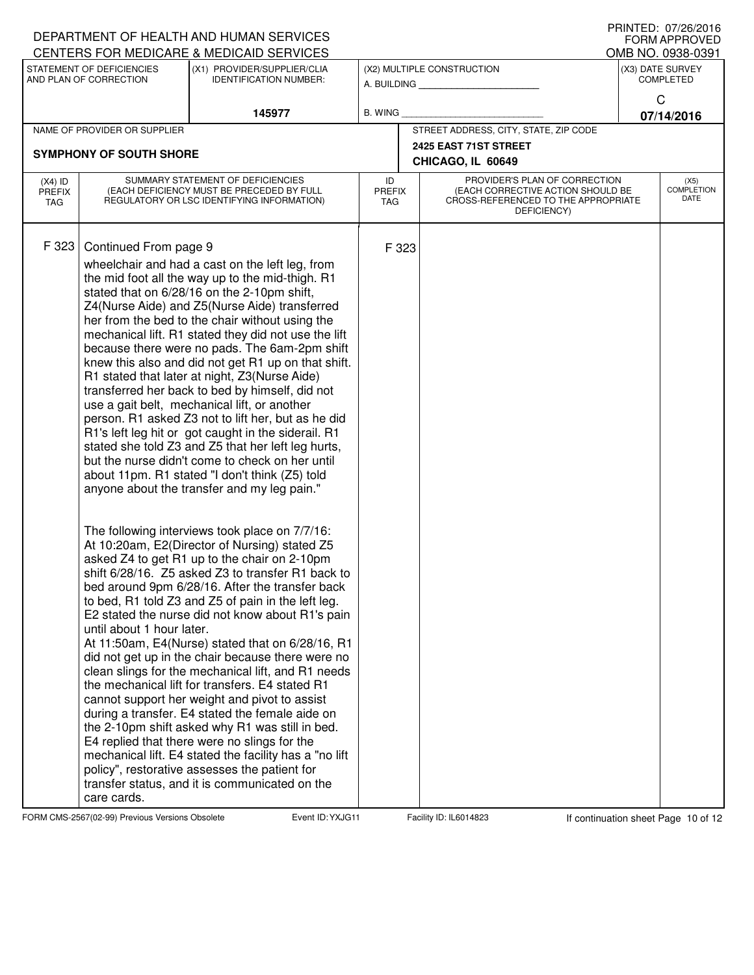|                      |                                | DEPARTMENT OF HEALTH AND HUMAN SERVICES                                                                   |                      |                       |                                                                          | FNIIVIED. UI/Z0/ZUIO<br><b>FORM APPROVED</b> |
|----------------------|--------------------------------|-----------------------------------------------------------------------------------------------------------|----------------------|-----------------------|--------------------------------------------------------------------------|----------------------------------------------|
|                      | STATEMENT OF DEFICIENCIES      | CENTERS FOR MEDICARE & MEDICAID SERVICES<br>(X1) PROVIDER/SUPPLIER/CLIA                                   |                      |                       | (X2) MULTIPLE CONSTRUCTION                                               | OMB NO. 0938-0391<br>(X3) DATE SURVEY        |
|                      | AND PLAN OF CORRECTION         | <b>IDENTIFICATION NUMBER:</b>                                                                             | A. BUILDING          |                       |                                                                          | <b>COMPLETED</b>                             |
|                      |                                |                                                                                                           |                      |                       |                                                                          | C                                            |
|                      |                                | 145977                                                                                                    | <b>B. WING</b>       |                       |                                                                          | 07/14/2016                                   |
|                      | NAME OF PROVIDER OR SUPPLIER   |                                                                                                           |                      |                       | STREET ADDRESS, CITY, STATE, ZIP CODE                                    |                                              |
|                      | <b>SYMPHONY OF SOUTH SHORE</b> |                                                                                                           |                      | 2425 EAST 71ST STREET |                                                                          |                                              |
|                      |                                |                                                                                                           |                      |                       | CHICAGO, IL 60649                                                        |                                              |
| $(X4)$ ID            |                                | SUMMARY STATEMENT OF DEFICIENCIES                                                                         | ID                   |                       | PROVIDER'S PLAN OF CORRECTION                                            | (X5)                                         |
| <b>PREFIX</b><br>TAG |                                | (EACH DEFICIENCY MUST BE PRECEDED BY FULL<br>REGULATORY OR LSC IDENTIFYING INFORMATION)                   | <b>PREFIX</b><br>TAG |                       | (EACH CORRECTIVE ACTION SHOULD BE<br>CROSS-REFERENCED TO THE APPROPRIATE | <b>COMPLETION</b><br>DATE                    |
|                      |                                |                                                                                                           |                      |                       | DEFICIENCY)                                                              |                                              |
|                      |                                |                                                                                                           |                      |                       |                                                                          |                                              |
| F 323                | Continued From page 9          |                                                                                                           | F 323                |                       |                                                                          |                                              |
|                      |                                | wheelchair and had a cast on the left leg, from                                                           |                      |                       |                                                                          |                                              |
|                      |                                | the mid foot all the way up to the mid-thigh. R1                                                          |                      |                       |                                                                          |                                              |
|                      |                                | stated that on 6/28/16 on the 2-10pm shift,                                                               |                      |                       |                                                                          |                                              |
|                      |                                | Z4(Nurse Aide) and Z5(Nurse Aide) transferred<br>her from the bed to the chair without using the          |                      |                       |                                                                          |                                              |
|                      |                                | mechanical lift. R1 stated they did not use the lift                                                      |                      |                       |                                                                          |                                              |
|                      |                                | because there were no pads. The 6am-2pm shift                                                             |                      |                       |                                                                          |                                              |
|                      |                                | knew this also and did not get R1 up on that shift.                                                       |                      |                       |                                                                          |                                              |
|                      |                                | R1 stated that later at night, Z3(Nurse Aide)                                                             |                      |                       |                                                                          |                                              |
|                      |                                | transferred her back to bed by himself, did not                                                           |                      |                       |                                                                          |                                              |
|                      |                                | use a gait belt, mechanical lift, or another                                                              |                      |                       |                                                                          |                                              |
|                      |                                | person. R1 asked Z3 not to lift her, but as he did<br>R1's left leg hit or got caught in the siderail. R1 |                      |                       |                                                                          |                                              |
|                      |                                | stated she told Z3 and Z5 that her left leg hurts,                                                        |                      |                       |                                                                          |                                              |
|                      |                                | but the nurse didn't come to check on her until                                                           |                      |                       |                                                                          |                                              |
|                      |                                | about 11pm. R1 stated "I don't think (Z5) told                                                            |                      |                       |                                                                          |                                              |
|                      |                                | anyone about the transfer and my leg pain."                                                               |                      |                       |                                                                          |                                              |
|                      |                                |                                                                                                           |                      |                       |                                                                          |                                              |
|                      |                                | The following interviews took place on 7/7/16:                                                            |                      |                       |                                                                          |                                              |
|                      |                                | At 10:20am, E2(Director of Nursing) stated Z5                                                             |                      |                       |                                                                          |                                              |
|                      |                                | asked Z4 to get R1 up to the chair on 2-10pm                                                              |                      |                       |                                                                          |                                              |
|                      |                                | shift 6/28/16. Z5 asked Z3 to transfer R1 back to                                                         |                      |                       |                                                                          |                                              |
|                      |                                | bed around 9pm 6/28/16. After the transfer back                                                           |                      |                       |                                                                          |                                              |
|                      |                                | to bed, R1 told Z3 and Z5 of pain in the left leg.                                                        |                      |                       |                                                                          |                                              |
|                      |                                | E2 stated the nurse did not know about R1's pain                                                          |                      |                       |                                                                          |                                              |
|                      | until about 1 hour later.      |                                                                                                           |                      |                       |                                                                          |                                              |
|                      |                                | At 11:50am, E4(Nurse) stated that on 6/28/16, R1<br>did not get up in the chair because there were no     |                      |                       |                                                                          |                                              |
|                      |                                | clean slings for the mechanical lift, and R1 needs                                                        |                      |                       |                                                                          |                                              |
|                      |                                | the mechanical lift for transfers. E4 stated R1                                                           |                      |                       |                                                                          |                                              |
|                      |                                | cannot support her weight and pivot to assist                                                             |                      |                       |                                                                          |                                              |
|                      |                                | during a transfer. E4 stated the female aide on                                                           |                      |                       |                                                                          |                                              |
|                      |                                | the 2-10pm shift asked why R1 was still in bed.                                                           |                      |                       |                                                                          |                                              |
|                      |                                | E4 replied that there were no slings for the                                                              |                      |                       |                                                                          |                                              |
|                      |                                | mechanical lift. E4 stated the facility has a "no lift                                                    |                      |                       |                                                                          |                                              |
|                      |                                | policy", restorative assesses the patient for<br>transfer status, and it is communicated on the           |                      |                       |                                                                          |                                              |
|                      | care cards.                    |                                                                                                           |                      |                       |                                                                          |                                              |

FORM CMS-2567(02-99) Previous Versions Obsolete **Figure 10: YXJG11** Facility ID: IL6014823 If continuation sheet Page 10 of 12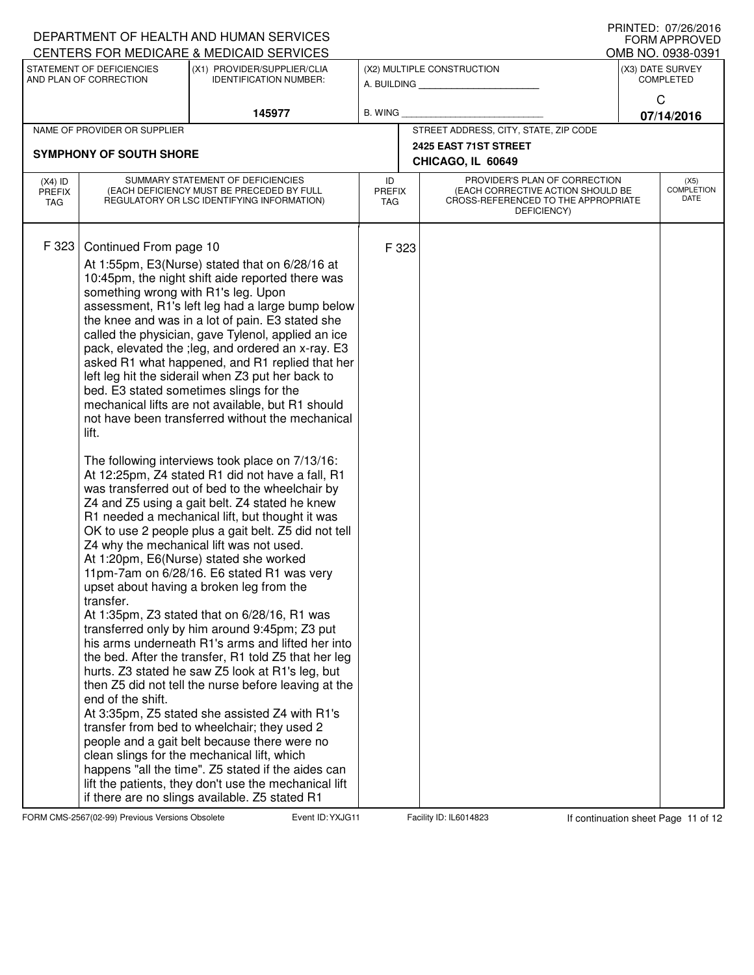|                                   |                                                                                                          | DEPARTMENT OF HEALTH AND HUMAN SERVICES<br>CENTERS FOR MEDICARE & MEDICAID SERVICES                                                                                                                                                                                                                                                                                                                                                                                                                                                                                                                                                                                                                                                                                                                                                                                                                                                                                                                                                                                                                                                                                                                                                                                                                                                                                                                                                                                                                                                                                                                                                                                                                                                                                                   |                            |                                                                                                                          | FNIIVIED. UI/Z0/ZUIO<br><b>FORM APPROVED</b><br>OMB NO. 0938-0391 |
|-----------------------------------|----------------------------------------------------------------------------------------------------------|---------------------------------------------------------------------------------------------------------------------------------------------------------------------------------------------------------------------------------------------------------------------------------------------------------------------------------------------------------------------------------------------------------------------------------------------------------------------------------------------------------------------------------------------------------------------------------------------------------------------------------------------------------------------------------------------------------------------------------------------------------------------------------------------------------------------------------------------------------------------------------------------------------------------------------------------------------------------------------------------------------------------------------------------------------------------------------------------------------------------------------------------------------------------------------------------------------------------------------------------------------------------------------------------------------------------------------------------------------------------------------------------------------------------------------------------------------------------------------------------------------------------------------------------------------------------------------------------------------------------------------------------------------------------------------------------------------------------------------------------------------------------------------------|----------------------------|--------------------------------------------------------------------------------------------------------------------------|-------------------------------------------------------------------|
|                                   | STATEMENT OF DEFICIENCIES<br>AND PLAN OF CORRECTION                                                      | (X1) PROVIDER/SUPPLIER/CLIA<br><b>IDENTIFICATION NUMBER:</b>                                                                                                                                                                                                                                                                                                                                                                                                                                                                                                                                                                                                                                                                                                                                                                                                                                                                                                                                                                                                                                                                                                                                                                                                                                                                                                                                                                                                                                                                                                                                                                                                                                                                                                                          |                            | (X2) MULTIPLE CONSTRUCTION<br>A. BUILDING                                                                                | (X3) DATE SURVEY<br><b>COMPLETED</b>                              |
|                                   |                                                                                                          | 145977                                                                                                                                                                                                                                                                                                                                                                                                                                                                                                                                                                                                                                                                                                                                                                                                                                                                                                                                                                                                                                                                                                                                                                                                                                                                                                                                                                                                                                                                                                                                                                                                                                                                                                                                                                                | <b>B. WING</b>             |                                                                                                                          | C<br>07/14/2016                                                   |
|                                   | NAME OF PROVIDER OR SUPPLIER                                                                             |                                                                                                                                                                                                                                                                                                                                                                                                                                                                                                                                                                                                                                                                                                                                                                                                                                                                                                                                                                                                                                                                                                                                                                                                                                                                                                                                                                                                                                                                                                                                                                                                                                                                                                                                                                                       |                            | STREET ADDRESS, CITY, STATE, ZIP CODE                                                                                    |                                                                   |
|                                   | <b>SYMPHONY OF SOUTH SHORE</b>                                                                           |                                                                                                                                                                                                                                                                                                                                                                                                                                                                                                                                                                                                                                                                                                                                                                                                                                                                                                                                                                                                                                                                                                                                                                                                                                                                                                                                                                                                                                                                                                                                                                                                                                                                                                                                                                                       |                            | 2425 EAST 71ST STREET                                                                                                    |                                                                   |
|                                   |                                                                                                          |                                                                                                                                                                                                                                                                                                                                                                                                                                                                                                                                                                                                                                                                                                                                                                                                                                                                                                                                                                                                                                                                                                                                                                                                                                                                                                                                                                                                                                                                                                                                                                                                                                                                                                                                                                                       |                            | CHICAGO, IL 60649                                                                                                        |                                                                   |
| $(X4)$ ID<br><b>PREFIX</b><br>TAG |                                                                                                          | SUMMARY STATEMENT OF DEFICIENCIES<br>(EACH DEFICIENCY MUST BE PRECEDED BY FULL<br>REGULATORY OR LSC IDENTIFYING INFORMATION)                                                                                                                                                                                                                                                                                                                                                                                                                                                                                                                                                                                                                                                                                                                                                                                                                                                                                                                                                                                                                                                                                                                                                                                                                                                                                                                                                                                                                                                                                                                                                                                                                                                          | ID<br><b>PREFIX</b><br>TAG | PROVIDER'S PLAN OF CORRECTION<br>(EACH CORRECTIVE ACTION SHOULD BE<br>CROSS-REFERENCED TO THE APPROPRIATE<br>DEFICIENCY) | (X5)<br><b>COMPLETION</b><br>DATE                                 |
| F 323                             | Continued From page 10<br>something wrong with R1's leg. Upon<br>lift.<br>transfer.<br>end of the shift. | At 1:55pm, E3(Nurse) stated that on 6/28/16 at<br>10:45pm, the night shift aide reported there was<br>assessment, R1's left leg had a large bump below<br>the knee and was in a lot of pain. E3 stated she<br>called the physician, gave Tylenol, applied an ice<br>pack, elevated the ; leg, and ordered an x-ray. E3<br>asked R1 what happened, and R1 replied that her<br>left leg hit the siderail when Z3 put her back to<br>bed. E3 stated sometimes slings for the<br>mechanical lifts are not available, but R1 should<br>not have been transferred without the mechanical<br>The following interviews took place on 7/13/16:<br>At 12:25pm, Z4 stated R1 did not have a fall, R1<br>was transferred out of bed to the wheelchair by<br>Z4 and Z5 using a gait belt. Z4 stated he knew<br>R1 needed a mechanical lift, but thought it was<br>OK to use 2 people plus a gait belt. Z5 did not tell<br>Z4 why the mechanical lift was not used.<br>At 1:20pm, E6(Nurse) stated she worked<br>11pm-7am on 6/28/16. E6 stated R1 was very<br>upset about having a broken leg from the<br>At 1:35pm, Z3 stated that on 6/28/16, R1 was<br>transferred only by him around 9:45pm; Z3 put<br>his arms underneath R1's arms and lifted her into<br>the bed. After the transfer, R1 told Z5 that her leg<br>hurts. Z3 stated he saw Z5 look at R1's leg, but<br>then Z5 did not tell the nurse before leaving at the<br>At 3:35pm, Z5 stated she assisted Z4 with R1's<br>transfer from bed to wheelchair; they used 2<br>people and a gait belt because there were no<br>clean slings for the mechanical lift, which<br>happens "all the time". Z5 stated if the aides can<br>lift the patients, they don't use the mechanical lift<br>if there are no slings available. Z5 stated R1 | F 323                      |                                                                                                                          |                                                                   |

FORM CMS-2567(02-99) Previous Versions Obsolete **Fig. 11** Facility ID: IL6014823 If continuation sheet Page 11 of 12